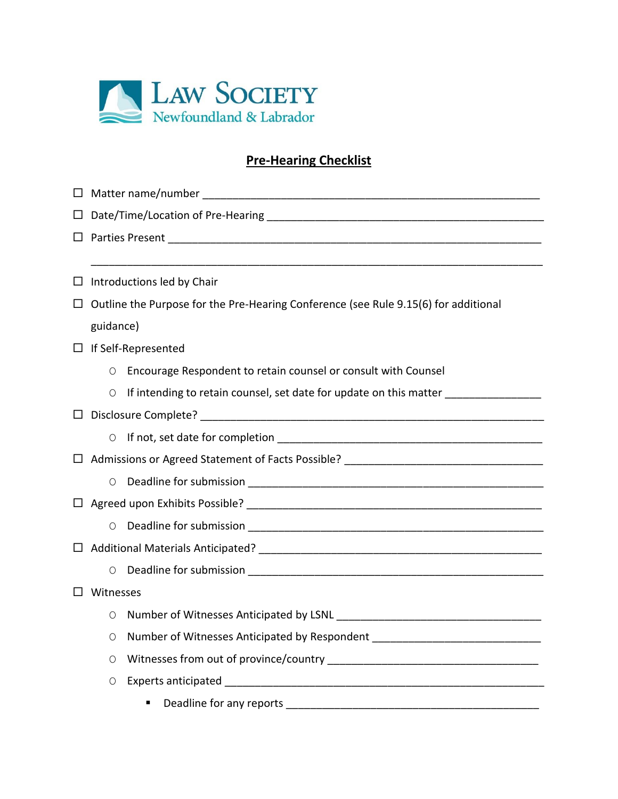

## **Pre-Hearing Checklist**

| $\Box$ | Introductions led by Chair                                                          |                                                                                  |  |
|--------|-------------------------------------------------------------------------------------|----------------------------------------------------------------------------------|--|
| $\Box$ | Outline the Purpose for the Pre-Hearing Conference (see Rule 9.15(6) for additional |                                                                                  |  |
|        | guidance)                                                                           |                                                                                  |  |
|        | $\Box$ If Self-Represented                                                          |                                                                                  |  |
|        | O                                                                                   | Encourage Respondent to retain counsel or consult with Counsel                   |  |
|        | $\bigcirc$                                                                          | If intending to retain counsel, set date for update on this matter _____________ |  |
| $\Box$ | Disclosure Complete?                                                                |                                                                                  |  |
|        | O                                                                                   |                                                                                  |  |
|        |                                                                                     |                                                                                  |  |
|        | O                                                                                   |                                                                                  |  |
|        |                                                                                     |                                                                                  |  |
|        | O                                                                                   |                                                                                  |  |
|        |                                                                                     |                                                                                  |  |
|        | 0                                                                                   |                                                                                  |  |
|        | Witnesses                                                                           |                                                                                  |  |
|        | O                                                                                   | Number of Witnesses Anticipated by LSNL                                          |  |
|        | O                                                                                   | Number of Witnesses Anticipated by Respondent __________________________________ |  |
|        | O                                                                                   |                                                                                  |  |
|        | O                                                                                   |                                                                                  |  |
|        |                                                                                     | Deadline for any reports<br>٠                                                    |  |